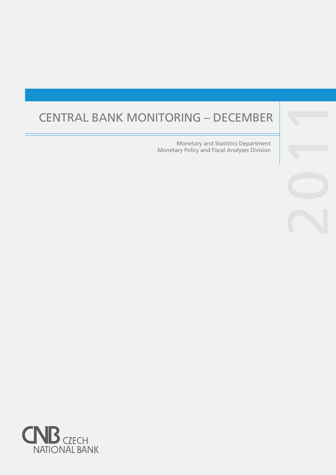# CENTRAL BANK MONITORING – DECEMBER

Monetary and Statistics Department Monetary Policy and Fiscal Analyses Division



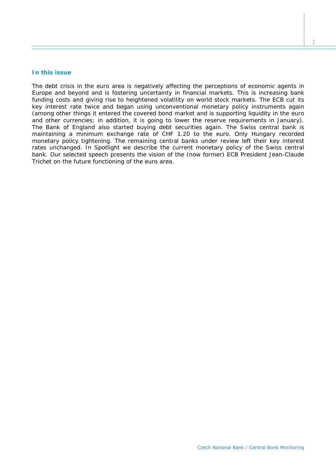## **In this issue**

*The debt crisis in the euro area is negatively affecting the perceptions of economic agents in Europe and beyond and is fostering uncertainty in financial markets. This is increasing bank funding costs and giving rise to heightened volatility on world stock markets. The ECB cut its key interest rate twice and began using unconventional monetary policy instruments again (among other things it entered the covered bond market and is supporting liquidity in the euro and other currencies; in addition, it is going to lower the reserve requirements in January). The Bank of England also started buying debt securities again. The Swiss central bank is maintaining a minimum exchange rate of CHF 1.20 to the euro. Only Hungary recorded monetary policy tightening. The remaining central banks under review left their key interest rates unchanged. In* Spotlight *we describe the current monetary policy of the Swiss central bank. Our selected speech presents the vision of the (now former) ECB President Jean-Claude Trichet on the future functioning of the euro area.*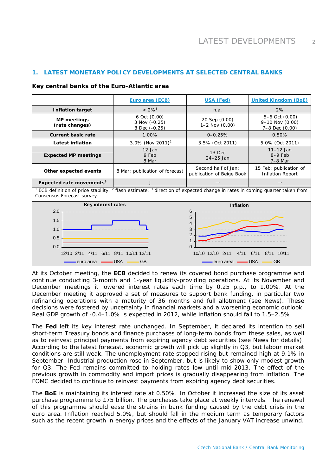## **1. LATEST MONETARY POLICY DEVELOPMENTS AT SELECTED CENTRAL BANKS**

#### **Key central banks of the Euro-Atlantic area**

|                                                                                                                                                                                                                                                                                                                                                                                                                                                | Euro area (ECB)                                | <b>United Kingdom (BoE)</b><br><b>USA (Fed)</b>                            |                                                         |  |  |  |  |  |  |  |  |
|------------------------------------------------------------------------------------------------------------------------------------------------------------------------------------------------------------------------------------------------------------------------------------------------------------------------------------------------------------------------------------------------------------------------------------------------|------------------------------------------------|----------------------------------------------------------------------------|---------------------------------------------------------|--|--|--|--|--|--|--|--|
| <b>Inflation target</b>                                                                                                                                                                                                                                                                                                                                                                                                                        | $< 2\%$ <sup>1</sup>                           | n.a.                                                                       | 2%                                                      |  |  |  |  |  |  |  |  |
| <b>MP</b> meetings<br>(rate changes)                                                                                                                                                                                                                                                                                                                                                                                                           | 6 Oct (0.00)<br>3 Nov (-0.25)<br>8 Dec (-0.25) | 20 Sep (0.00)<br>$1 - 2$ Nov $(0.00)$                                      | 5-6 Oct (0.00)<br>$9 - 10$ Nov (0.00)<br>7-8 Dec (0.00) |  |  |  |  |  |  |  |  |
| <b>Current basic rate</b>                                                                                                                                                                                                                                                                                                                                                                                                                      | 1.00%                                          | $0 - 0.25%$                                                                | 0.50%                                                   |  |  |  |  |  |  |  |  |
| <b>Latest inflation</b>                                                                                                                                                                                                                                                                                                                                                                                                                        | 3.0% (Nov 2011) <sup>2</sup>                   | 3.5% (Oct 2011)                                                            | 5.0% (Oct 2011)                                         |  |  |  |  |  |  |  |  |
| <b>Expected MP meetings</b>                                                                                                                                                                                                                                                                                                                                                                                                                    | 12 Jan<br>9 Feb<br>8 Mar                       | 13 Dec<br>$24-25$ Jan                                                      | $11 - 12$ Jan<br>$8-9$ Feb<br>$7-8$ Mar                 |  |  |  |  |  |  |  |  |
| Other expected events                                                                                                                                                                                                                                                                                                                                                                                                                          | 8 Mar: publication of forecast                 | Second half of Jan:<br>publication of Beige Book                           | 15 Feb: publication of<br><b>Inflation Report</b>       |  |  |  |  |  |  |  |  |
| Expected rate movements <sup>3</sup>                                                                                                                                                                                                                                                                                                                                                                                                           |                                                |                                                                            | $\rightarrow$                                           |  |  |  |  |  |  |  |  |
| ECB definition of price stability; <sup>2</sup> flash estimate; <sup>3</sup> direction of expected change in rates in coming quarter taken from<br>Consensus Forecast survey.                                                                                                                                                                                                                                                                  |                                                |                                                                            |                                                         |  |  |  |  |  |  |  |  |
| Key interest rates                                                                                                                                                                                                                                                                                                                                                                                                                             |                                                | <b>Inflation</b>                                                           |                                                         |  |  |  |  |  |  |  |  |
| 2.0<br>1.5<br>1.0<br>0.5<br>0.0<br>$12/10$ $2/11$<br>6/11<br>4/11                                                                                                                                                                                                                                                                                                                                                                              | 8/11<br>10/11 12/11                            | 6<br>5<br>Δ<br>3<br>$\overline{2}$<br>$\Omega$<br>10/10 12/10 2/11<br>4/11 | 6/11<br>8/11<br>10/11                                   |  |  |  |  |  |  |  |  |
| $\frac{1}{\sqrt{1-\frac{1}{2}}\sqrt{1-\frac{1}{2}}\sqrt{1-\frac{1}{2}}\sqrt{1-\frac{1}{2}}\sqrt{1-\frac{1}{2}}\sqrt{1-\frac{1}{2}}\sqrt{1-\frac{1}{2}}\sqrt{1-\frac{1}{2}}\sqrt{1-\frac{1}{2}}\sqrt{1-\frac{1}{2}}\sqrt{1-\frac{1}{2}}\sqrt{1-\frac{1}{2}}\sqrt{1-\frac{1}{2}}\sqrt{1-\frac{1}{2}}\sqrt{1-\frac{1}{2}}\sqrt{1-\frac{1}{2}}\sqrt{1-\frac{1}{2}}\sqrt{1-\frac{1}{2}}\sqrt{1-\frac{1}{2}}\sqrt{1-\frac$<br><del>-</del> euro area | <b>GB</b>                                      | <b>GB</b><br>- euro area   —— USA                                          |                                                         |  |  |  |  |  |  |  |  |

At its October meeting, the **ECB** decided to renew its covered bond purchase programme and continue conducting 3-month and 1-year liquidity-providing operations. At its November and December meetings it lowered interest rates each time by 0.25 p.p., to 1.00%. At the December meeting it approved a set of measures to support bank funding, in particular two refinancing operations with a maturity of 36 months and full allotment (see *News*). These decisions were fostered by uncertainty in financial markets and a worsening economic outlook. Real GDP growth of -0.4–1.0% is expected in 2012, while inflation should fall to 1.5–2.5%.

The **Fed** left its key interest rate unchanged. In September, it declared its intention to sell short-term Treasury bonds and finance purchases of long-term bonds from these sales, as well as to reinvest principal payments from expiring agency debt securities (see *News* for details). According to the latest forecast, economic growth will pick up slightly in Q3, but labour market conditions are still weak. The unemployment rate stopped rising but remained high at 9.1% in September. Industrial production rose in September, but is likely to show only modest growth for Q3. The Fed remains committed to holding rates low until mid-2013. The effect of the previous growth in commodity and import prices is gradually disappearing from inflation. The FOMC decided to continue to reinvest payments from expiring agency debt securities.

The **BoE** is maintaining its interest rate at 0.50%. In October it increased the size of its asset purchase programme to £75 billion. The purchases take place at weekly intervals. The renewal of this programme should ease the strains in bank funding caused by the debt crisis in the euro area. Inflation reached 5.0%, but should fall in the medium term as temporary factors such as the recent growth in energy prices and the effects of the January VAT increase unwind.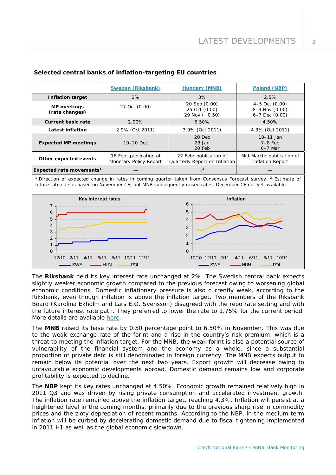|                                                                                                                                                                                                                                                    | <b>Sweden (Riksbank)</b>                         | <b>Hungary (MNB)</b>                                                                                          | Poland (NBP)                                             |  |  |  |  |  |  |  |  |
|----------------------------------------------------------------------------------------------------------------------------------------------------------------------------------------------------------------------------------------------------|--------------------------------------------------|---------------------------------------------------------------------------------------------------------------|----------------------------------------------------------|--|--|--|--|--|--|--|--|
| <b>Inflation target</b>                                                                                                                                                                                                                            | 2%                                               | 3%                                                                                                            | 2.5%                                                     |  |  |  |  |  |  |  |  |
| <b>MP</b> meetings<br>(rate changes)                                                                                                                                                                                                               | 27 Oct (0.00)                                    | 20 Sep (0.00)<br>25 Oct (0.00)<br>29 Nov (+0.50)                                                              | 4-5 Oct (0.00)<br>8-9 Nov (0.00)<br>$6 - 7$ Dec $(0.00)$ |  |  |  |  |  |  |  |  |
| <b>Current basic rate</b>                                                                                                                                                                                                                          | 2.00%                                            | 6.50%                                                                                                         | 4.50%                                                    |  |  |  |  |  |  |  |  |
| <b>Latest inflation</b>                                                                                                                                                                                                                            | 2.9% (Oct 2011)                                  | 3.9% (Oct 2011)                                                                                               | 4.3% (Oct 2011)                                          |  |  |  |  |  |  |  |  |
| <b>Expected MP meetings</b>                                                                                                                                                                                                                        | 19-20 Dec                                        | 20 Dec<br>23 Jan<br>20 Feb                                                                                    | 10-11 Jan<br>$7-8$ Feb<br>$6-7$ Mar                      |  |  |  |  |  |  |  |  |
| Other expected events                                                                                                                                                                                                                              | 16 Feb: publication of<br>Monetary Policy Report | 22 Feb: publication of<br>Quarterly Report on Inflation                                                       | Mid-March: publication of<br><b>Inflation Report</b>     |  |  |  |  |  |  |  |  |
| Expected rate movements <sup>1</sup>                                                                                                                                                                                                               |                                                  | $l^2$                                                                                                         |                                                          |  |  |  |  |  |  |  |  |
| <sup>1</sup> Direction of expected change in rates in coming quarter taken from Consensus Forecast survey. <sup>2</sup> Estimate of<br>future rate cuts is based on November CF, but MNB subsequently raised rates. December CF not yet available. |                                                  |                                                                                                               |                                                          |  |  |  |  |  |  |  |  |
| Key interest rates<br>$\overline{7}$<br>6<br>5<br>4<br>3<br>$\overline{2}$<br>$\Omega$<br>12/10<br>6/11<br>2/11<br>4/11<br><b>SWE</b>                                                                                                              | 10/11 12/11<br>8/11<br><b>HUN</b><br><b>POL</b>  | Inflation<br>6<br>5<br>4<br>3<br>$\overline{2}$<br>$\mathbf{1}$<br>$\Omega$<br>10/10 12/10 2/11<br><b>SWF</b> | 6/11<br>8/11 10/11<br>4/11<br><b>HUN</b><br><b>POL</b>   |  |  |  |  |  |  |  |  |

## **Selected central banks of inflation-targeting EU countries**

The **Riksbank** held its key interest rate unchanged at 2%. The Swedish central bank expects slightly weaker economic growth compared to the previous forecast owing to worsening global economic conditions. Domestic inflationary pressure is also currently weak, according to the Riksbank, even though inflation is above the inflation target. Two members of the Riksbank Board (Karolina Ekholm and Lars E.O. Svensson) disagreed with the repo rate setting and with the future interest rate path. They preferred to lower the rate to 1.75% for the current period. More details are available [here](http://www.riksbank.com/templates/Page.aspx?id=51034).

The **MNB** raised its base rate by 0.50 percentage point to 6.50% in November. This was due to the weak exchange rate of the forint and a rise in the country's risk premium, which is a threat to meeting the inflation target. For the MNB, the weak forint is also a potential source of vulnerability of the financial system and the economy as a whole, since a substantial proportion of private debt is still denominated in foreign currency. The MNB expects output to remain below its potential over the next two years. Export growth will decrease owing to unfavourable economic developments abroad. Domestic demand remains low and corporate profitability is expected to decline.

The **NBP** kept its key rates unchanged at 4.50%. Economic growth remained relatively high in 2011 Q3 and was driven by rising private consumption and accelerated investment growth. The inflation rate remained above the inflation target, reaching 4.3%. Inflation will persist at a heightened level in the coming months, primarily due to the previous sharp rise in commodity prices and the zloty depreciation of recent months. According to the NBP, in the medium term inflation will be curbed by decelerating domestic demand due to fiscal tightening implemented in 2011 H1 as well as the global economic slowdown.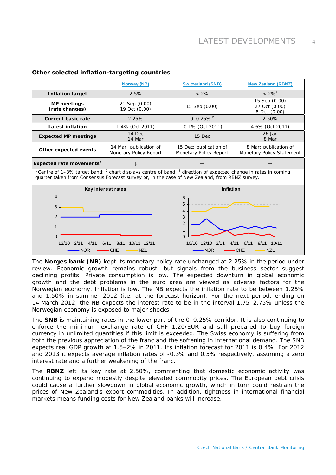$\overline{A}$ 

|                                                                                                                                                                                                                                                                                                     | <b>Norway (NB)</b>                               | <b>Switzerland (SNB)</b>                         | <b>New Zealand (RBNZ)</b>                          |  |  |  |  |  |  |  |  |
|-----------------------------------------------------------------------------------------------------------------------------------------------------------------------------------------------------------------------------------------------------------------------------------------------------|--------------------------------------------------|--------------------------------------------------|----------------------------------------------------|--|--|--|--|--|--|--|--|
| <b>Inflation target</b>                                                                                                                                                                                                                                                                             | 2.5%                                             | $< 2\%$                                          | $< 2\%$ <sup>1</sup>                               |  |  |  |  |  |  |  |  |
| <b>MP</b> meetings<br>(rate changes)                                                                                                                                                                                                                                                                | 21 Sep (0.00)<br>19 Oct (0.00)                   | 15 Sep (0.00)                                    | 15 Sep (0.00)<br>27 Oct (0.00)<br>8 Dec (0.00)     |  |  |  |  |  |  |  |  |
| <b>Current basic rate</b>                                                                                                                                                                                                                                                                           | 2.25%                                            | $0 - 0.25\%$ <sup>2</sup>                        | 2.50%                                              |  |  |  |  |  |  |  |  |
| <b>Latest inflation</b>                                                                                                                                                                                                                                                                             | 1.4% (Oct 2011)                                  | $-0.1\%$ (Oct 2011)                              | 4.6% (Oct 2011)                                    |  |  |  |  |  |  |  |  |
| <b>Expected MP meetings</b>                                                                                                                                                                                                                                                                         | 14 Dec<br>14 Mar                                 | 15 Dec                                           | $26$ Jan<br>8 Mar                                  |  |  |  |  |  |  |  |  |
| Other expected events                                                                                                                                                                                                                                                                               | 14 Mar: publication of<br>Monetary Policy Report | 15 Dec: publication of<br>Monetary Policy Report | 8 Mar: publication of<br>Monetary Policy Statement |  |  |  |  |  |  |  |  |
| Expected rate movements <sup>3</sup>                                                                                                                                                                                                                                                                |                                                  |                                                  |                                                    |  |  |  |  |  |  |  |  |
| <sup>1</sup> Centre of 1–3% target band; <sup>2</sup> chart displays centre of band; <sup>3</sup> direction of expected change in rates in coming<br>quarter taken from Consensus Forecast survey or, in the case of New Zealand, from RBNZ survey.                                                 |                                                  |                                                  |                                                    |  |  |  |  |  |  |  |  |
|                                                                                                                                                                                                                                                                                                     | Key interest rates                               | Inflation                                        |                                                    |  |  |  |  |  |  |  |  |
| 4<br>6<br>5<br>3<br>4<br>$\overline{2}$<br>3<br>$\overline{2}$<br>$\mathbf{1}$<br>$\mathbf 1$<br>$\Omega$<br>12/10<br>8/11<br>10/11 12/11<br>10/10 12/10<br>2/11<br>4/11<br>6/11<br>8/11 10/11<br>4/11<br>6/11<br>2/11<br><b>NOR</b><br>CHE<br><b>NZL</b><br><b>NZL</b><br><b>NOR</b><br><b>CHE</b> |                                                  |                                                  |                                                    |  |  |  |  |  |  |  |  |

## **Other selected inflation-targeting countries**

The **Norges bank (NB)** kept its monetary policy rate unchanged at 2.25% in the period under review. Economic growth remains robust, but signals from the business sector suggest declining profits. Private consumption is low. The expected downturn in global economic growth and the debt problems in the euro area are viewed as adverse factors for the Norwegian economy. Inflation is low. The NB expects the inflation rate to be between 1.25% and 1.50% in summer 2012 (i.e. at the forecast horizon). For the next period, ending on 14 March 2012, the NB expects the interest rate to be in the interval 1.75–2.75% unless the Norwegian economy is exposed to major shocks.

The **SNB** is maintaining rates in the lower part of the 0–0.25% corridor. It is also continuing to enforce the minimum exchange rate of CHF 1.20/EUR and still prepared to buy foreign currency in unlimited quantities if this limit is exceeded. The Swiss economy is suffering from both the previous appreciation of the franc and the softening in international demand. The SNB expects real GDP growth at 1.5–2% in 2011. Its inflation forecast for 2011 is 0.4%. For 2012 and 2013 it expects average inflation rates of -0.3% and 0.5% respectively, assuming a zero interest rate and a further weakening of the franc.

The **RBNZ** left its key rate at 2.50%, commenting that domestic economic activity was continuing to expand modestly despite elevated commodity prices. The European debt crisis could cause a further slowdown in global economic growth, which in turn could restrain the prices of New Zealand's export commodities. In addition, tightness in international financial markets means funding costs for New Zealand banks will increase.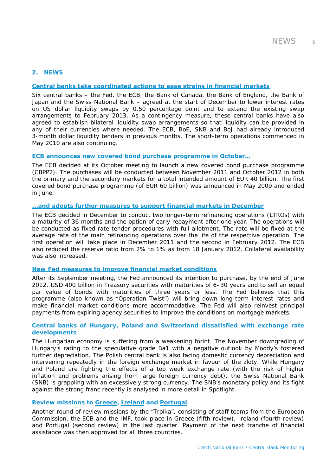## **2. NEWS**

## **[Central banks take coordinated actions to ease strains in financial markets](http://www.federalreserve.gov/newsevents/press/monetary/20111130a.htm)**

Six central banks – the Fed, the ECB, the Bank of Canada, the Bank of England, the Bank of Japan and the Swiss National Bank – agreed at the start of December to lower interest rates on US dollar liquidity swaps by 0.50 percentage point and to extend the existing swap arrangements to February 2013. As a contingency measure, these central banks have also agreed to establish bilateral liquidity swap arrangements so that liquidity can be provided in any of their currencies where needed. The ECB, BoE, SNB and BoJ had already introduced 3-month dollar liquidity tenders in previous months. The short-term operations commenced in May 2010 are also continuing.

#### **[ECB announces new covered bond purchase programme in October…](http://www.ecb.europa.eu/press/pr/date/2011/html/pr111103_1.en.html)**

The ECB decided at its October meeting to launch a new covered bond purchase programme (CBPP2). The purchases will be conducted between November 2011 and October 2012 in both the primary and the secondary markets for a total intended amount of EUR 40 billion. The first covered bond purchase programme (of EUR 60 billion) was announced in May 2009 and ended in June.

#### **[...and adopts further measures to support financial markets in December](http://www.ecb.int/press/pr/date/2011/html/pr111208_1.en.html)**

The ECB decided in December to conduct two longer-term refinancing operations (LTROs) with a maturity of 36 months and the option of early repayment after one year. The operations will be conducted as fixed rate tender procedures with full allotment. The rate will be fixed at the average rate of the main refinancing operations over the life of the respective operation. The first operation will take place in December 2011 and the second in February 2012. The ECB also reduced the reserve ratio from 2% to 1% as from 18 January 2012. Collateral availability was also increased.

## **[New Fed measures to improve financial market conditions](http://www.newyorkfed.org/markets/opolicy/operating_policy_110921.html)**

After its September meeting, the Fed announced its intention to purchase, by the end of June 2012, USD 400 billion in Treasury securities with maturities of 6–30 years and to sell an equal par value of bonds with maturities of three years or less. The Fed believes that this programme (also known as "Operation Twist") will bring down long-term interest rates and make financial market conditions more accommodative. The Fed will also reinvest principal payments from expiring agency securities to improve the conditions on mortgage markets.

## **Central banks of Hungary, Poland and Switzerland dissatisfied with exchange rate developments**

The Hungarian economy is suffering from a weakening forint. The November downgrading of Hungary's rating to the speculative grade Ba1 with a negative outlook by Moody's fostered further depreciation. The Polish central bank is also facing domestic currency depreciation and intervening repeatedly in the foreign exchange market in favour of the zloty. While Hungary and Poland are fighting the effects of a too weak exchange rate (with the risk of higher inflation and problems arising from large foreign currency debt), the Swiss National Bank (SNB) is grappling with an excessively strong currency. The SNB's monetary policy and its fight against the strong franc recently is analysed in more detail in *Spotlight*.

## **Review missions to [Greece](http://www.ecb.europa.eu/press/pr/date/2011/html/pr111011.en.html), [Ireland](http://www.ecb.europa.eu/press/pr/date/2011/html/pr111020.en.html) and [Portugal](http://www.ecb.europa.eu/press/pr/date/2011/html/pr111116.en.html)**

Another round of review missions by the "Troika", consisting of staff teams from the European Commission, the ECB and the IMF, took place in Greece (fifth review), Ireland (fourth review) and Portugal (second review) in the last quarter. Payment of the next tranche of financial assistance was then approved for all three countries.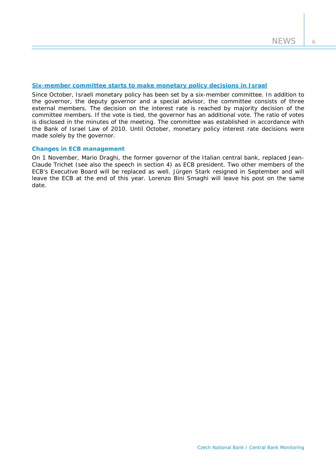## **[Six-member committee starts to make monetary policy decisions in Israel](http://www.bankisrael.gov.il/press/eng/111009/111009n.htm)**

Since October, Israeli monetary policy has been set by a six-member committee. In addition to the governor, the deputy governor and a special advisor, the committee consists of three external members. The decision on the interest rate is reached by majority decision of the committee members. If the vote is tied, the governor has an additional vote. The ratio of votes is disclosed in the minutes of the meeting. The committee was established in accordance with the Bank of Israel Law of 2010. Until October, monetary policy interest rate decisions were made solely by the governor.

#### **Changes in ECB management**

On 1 November, Mario Draghi, the former governor of the Italian central bank, replaced Jean-Claude Trichet (see also the speech in section 4) as ECB president. Two other members of the ECB's Executive Board will be replaced as well. Jürgen Stark resigned in September and will leave the ECB at the end of this year. Lorenzo Bini Smaghi will leave his post on the same date.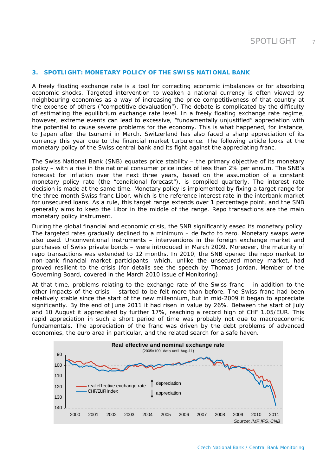## **3. SPOTLIGHT: MONETARY POLICY OF THE SWISS NATIONAL BANK**

*A freely floating exchange rate is a tool for correcting economic imbalances or for absorbing economic shocks. Targeted intervention to weaken a national currency is often viewed by neighbouring economies as a way of increasing the price competitiveness of that country at the expense of others ("competitive devaluation"). The debate is complicated by the difficulty of estimating the equilibrium exchange rate level. In a freely floating exchange rate regime, however, extreme events can lead to excessive, "fundamentally unjustified" appreciation with the potential to cause severe problems for the economy. This is what happened, for instance, to Japan after the tsunami in March. Switzerland has also faced a sharp appreciation of its currency this year due to the financial market turbulence. The following article looks at the monetary policy of the Swiss central bank and its fight against the appreciating franc.* 

The Swiss National Bank (SNB) equates price stability – the primary objective of its monetary policy – with a rise in the national consumer price index of less than 2% per annum. The SNB's forecast for inflation over the next three years, based on the assumption of a constant monetary policy rate (the "conditional forecast"), is compiled quarterly. The interest rate decision is made at the same time. Monetary policy is implemented by fixing a target range for the three-month Swiss franc Libor, which is the reference interest rate in the interbank market for unsecured loans. As a rule, this target range extends over 1 percentage point, and the SNB generally aims to keep the Libor in the middle of the range. Repo transactions are the main monetary policy instrument.

During the global financial and economic crisis, the SNB significantly eased its monetary policy. The targeted rates gradually declined to a minimum – de facto to zero. Monetary swaps were also used. Unconventional instruments – interventions in the foreign exchange market and purchases of Swiss private bonds – were introduced in March 2009. Moreover, the maturity of repo transactions was extended to 12 months. In 2010, the SNB opened the repo market to non-bank financial market participants, which, unlike the unsecured money market, had proved resilient to the crisis (for details see the speech by Thomas Jordan, Member of the Governing Board, covered in the March 2010 issue of *Monitoring*).

At that time, problems relating to the exchange rate of the Swiss franc – in addition to the other impacts of the crisis – started to be felt more than before. The Swiss franc had been relatively stable since the start of the new millennium, but in mid-2009 it began to appreciate significantly. By the end of June 2011 it had risen in value by 26%. Between the start of July and 10 August it appreciated by further 17%, reaching a record high of CHF 1.05/EUR. This rapid appreciation in such a short period of time was probably not due to macroeconomic fundamentals. The appreciation of the franc was driven by the debt problems of advanced economies, the euro area in particular, and the related search for a safe haven.

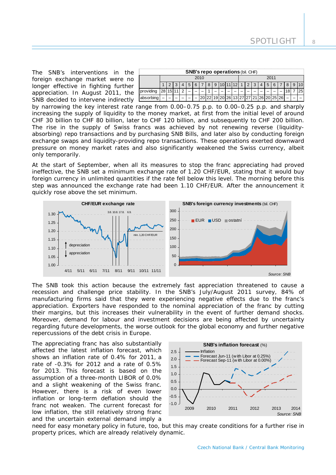The SNB's interventions in the foreign exchange market were no longer effective in fighting further appreciation. In August 2011, the SNB decided to intervene indirectly

| <b>SNB's repo operations (bil. CHF)</b> |      |  |  |   |                 |   |  |      |  |  |                               |  |  |  |  |                |                |   |  |   |   |    |
|-----------------------------------------|------|--|--|---|-----------------|---|--|------|--|--|-------------------------------|--|--|--|--|----------------|----------------|---|--|---|---|----|
|                                         | 2010 |  |  |   |                 |   |  | 2011 |  |  |                               |  |  |  |  |                |                |   |  |   |   |    |
|                                         |      |  |  |   | $4 \mid 5 \mid$ | 6 |  |      |  |  | 8 9 10 11 12 1 2 3            |  |  |  |  | $\overline{4}$ | $\overline{5}$ | 6 |  | 8 | 9 |    |
| providing $28 15 11 $                   |      |  |  | っ |                 |   |  |      |  |  |                               |  |  |  |  |                |                |   |  |   |   | 25 |
| absorbing                               |      |  |  |   |                 |   |  |      |  |  | 20 26 13 27 27 21 26 20 25 26 |  |  |  |  |                |                |   |  |   |   |    |

by narrowing the key interest rate range from 0.00–0.75 p.p. to 0.00–0.25 p.p. and sharply increasing the supply of liquidity to the money market, at first from the initial level of around CHF 30 billion to CHF 80 billion, later to CHF 120 billion, and subsequently to CHF 200 billion. The rise in the supply of Swiss francs was achieved by not renewing reverse (liquidityabsorbing) repo transactions and by purchasing SNB Bills, and later also by conducting foreign exchange swaps and liquidity-providing repo transactions. These operations exerted downward pressure on money market rates and also significantly weakened the Swiss currency, albeit only temporarily.

At the start of September, when all its measures to stop the franc appreciating had proved ineffective, the SNB set a minimum exchange rate of 1.20 CHF/EUR, stating that it would buy foreign currency in unlimited quantities if the rate fell below this level. The morning before this step was announced the exchange rate had been 1.10 CHF/EUR. After the announcement it quickly rose above the set minimum.



The SNB took this action because the extremely fast appreciation threatened to cause a recession and challenge price stability. In the SNB's July/August 2011 survey, 84% of manufacturing firms said that they were experiencing negative effects due to the franc's appreciation. Exporters have responded to the nominal appreciation of the franc by cutting their margins, but this increases their vulnerability in the event of further demand shocks. Moreover, demand for labour and investment decisions are being affected by uncertainty regarding future developments, the worse outlook for the global economy and further negative repercussions of the debt crisis in Europe.

The appreciating franc has also substantially affected the latest inflation forecast, which shows an inflation rate of 0.4% for 2011, a rate of -0.3% for 2012 and a rate of 0.5% for 2013. This forecast is based on the assumption of a three-month LIBOR of 0.0% and a slight weakening of the Swiss franc. However, there is a risk of even lower inflation or long-term deflation should the franc not weaken. The current forecast for low inflation, the still relatively strong franc and the uncertain external demand imply a



need for easy monetary policy in future, too, but this may create conditions for a further rise in property prices, which are already relatively dynamic.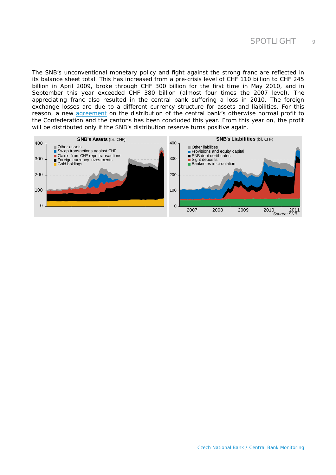The SNB's unconventional monetary policy and fight against the strong franc are reflected in its balance sheet total. This has increased from a pre-crisis level of CHF 110 billion to CHF 245 billion in April 2009, broke through CHF 300 billion for the first time in May 2010, and in September this year exceeded CHF 380 billion (almost four times the 2007 level). The appreciating franc also resulted in the central bank suffering a loss in 2010. The foreign exchange losses are due to a different currency structure for assets and liabilities. For this reason, a new [agreement](http://www.snb.ch/en/mmr/reference/pre_20111121/source/pre_20111121.en.pdf) on the distribution of the central bank's otherwise normal profit to the Confederation and the cantons has been concluded this year. From this year on, the profit will be distributed only if the SNB's distribution reserve turns positive again.